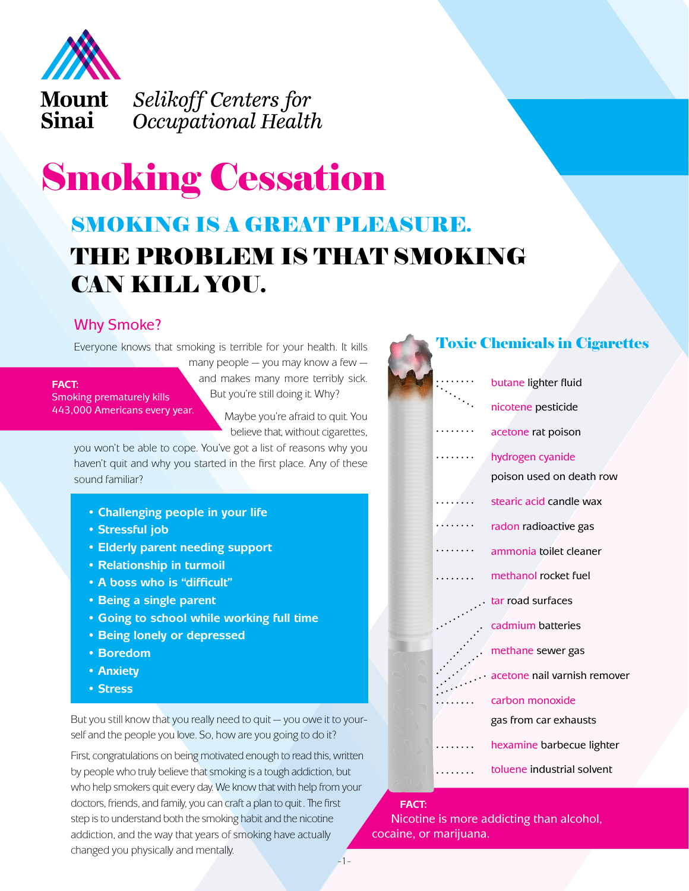

Mount Selikoff Centers for Sinai Occupational Health

# **Smoking Cessation**

# SMOKING IS A GREAT PLEASURE. THE PROBLEM IS THAT SMOKING CAN KILL YOU.

### Why Smoke?

Everyone knows that smoking is terrible for your health. It kills

**FACT:** Smoking prematurely kills 443,000 Americans every year.

many people — you may know a few and makes many more terribly sick. But you're still doing it. Why?

> Maybe you're afraid to quit. You believe that, without cigarettes,

you won't be able to cope. You've got a list of reasons why you haven't quit and why you started in the first place. Any of these sound familiar?

- **Challenging people in your life**
- **Stressful job**
- **Elderly parent needing support**
- **Relationship in turmoil**
- **A boss who is "difficult"**
- **Being a single parent**
- **Going to school while working full time**
- **Being lonely or depressed**
- **Boredom**
- **Anxiety**
- **Stress**

But you still know that you really need to quit — you owe it to yourself and the people you love. So, how are you going to do it?

First, congratulations on being motivated enough to read this, written by people who truly believe that smoking is a tough addiction, but who help smokers quit every day. We know that with help from your doctors, friends, and family, you can craft a plan to quit . The first step is to understand both the smoking habit and the nicotine addiction, and the way that years of smoking have actually changed you physically and mentally.

|  | <b>Toxic Chemicals in Cigarettes</b> |
|--|--------------------------------------|
|  | butane lighter fluid                 |
|  | nicotene pesticide                   |
|  | acetone rat poison                   |
|  | hydrogen cyanide                     |
|  | poison used on death row             |
|  | stearic acid candle wax              |
|  | radon radioactive gas                |
|  | ammonia toilet cleaner               |
|  | methanol rocket fuel                 |
|  | tar road surfaces                    |
|  | cadmium batteries                    |
|  | methane sewer gas                    |
|  | acetone nail varnish remover         |
|  | carbon monoxide                      |
|  | gas from car exhausts                |
|  | hexamine barbecue lighter            |
|  | toluene industrial solvent           |

### **FACT:**

Nicotine is more addicting than alcohol, cocaine, or marijuana.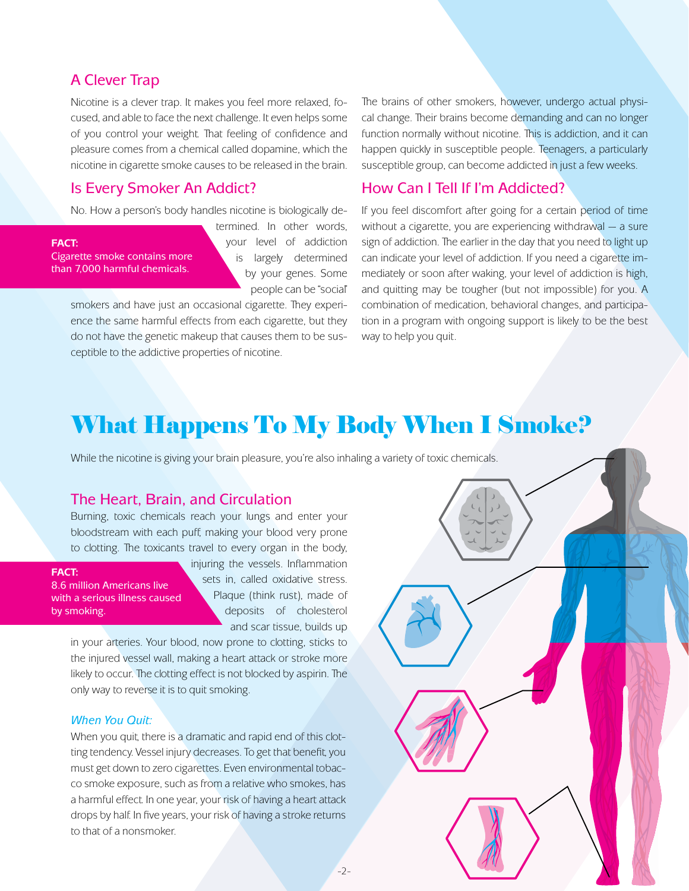### A Clever Trap

Nicotine is a clever trap. It makes you feel more relaxed, focused, and able to face the next challenge. It even helps some of you control your weight. That feeling of confidence and pleasure comes from a chemical called dopamine, which the nicotine in cigarette smoke causes to be released in the brain.

### Is Every Smoker An Addict?

No. How a person's body handles nicotine is biologically de-

#### **FACT:**

Cigarette smoke contains more than 7,000 harmful chemicals.

termined. In other words, your level of addiction is largely determined by your genes. Some people can be "social"

smokers and have just an occasional cigarette. They experience the same harmful effects from each cigarette, but they do not have the genetic makeup that causes them to be susceptible to the addictive properties of nicotine.

The brains of other smokers, however, undergo actual physical change. Their brains become demanding and can no longer function normally without nicotine. This is addiction, and it can happen quickly in susceptible people. Teenagers, a particularly susceptible group, can become addicted in just a few weeks.

### How Can I Tell If I'm Addicted?

If you feel discomfort after going for a certain period of time without a cigarette, you are experiencing withdrawal — a sure sign of addiction. The earlier in the day that you need to light up can indicate your level of addiction. If you need a cigarette immediately or soon after waking, your level of addiction is high, and quitting may be tougher (but not impossible) for you. A combination of medication, behavioral changes, and participation in a program with ongoing support is likely to be the best way to help you quit.

## What Happens To My Body When I Smoke?

While the nicotine is giving your brain pleasure, you're also inhaling a variety of toxic chemicals.

### The Heart, Brain, and Circulation

Burning, toxic chemicals reach your lungs and enter your bloodstream with each puff, making your blood very prone to clotting. The toxicants travel to every organ in the body,

#### **FACT:**

8.6 million Americans live with a serious illness caused by smoking.

injuring the vessels. Inflammation sets in, called oxidative stress. Plaque (think rust), made of deposits of cholesterol and scar tissue, builds up

in your arteries. Your blood, now prone to clotting, sticks to the injured vessel wall, making a heart attack or stroke more likely to occur. The clotting effect is not blocked by aspirin. The only way to reverse it is to quit smoking.

#### *When You Quit:*

When you quit, there is a dramatic and rapid end of this clotting tendency. Vessel injury decreases. To get that benefit, you must get down to zero cigarettes. Even environmental tobacco smoke exposure, such as from a relative who smokes, has a harmful effect. In one year, your risk of having a heart attack drops by half. In five years, your risk of having a stroke returns to that of a nonsmoker.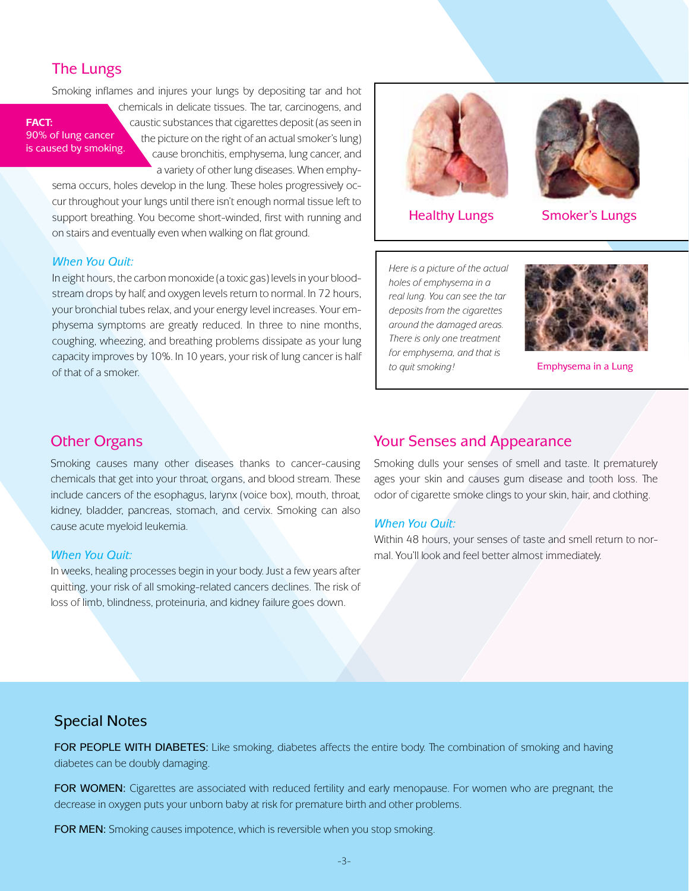### The Lungs

Smoking inflames and injures your lungs by depositing tar and hot

#### **FACT:** 90% of lung cancer is caused by smoking.

chemicals in delicate tissues. The tar, carcinogens, and caustic substances that cigarettes deposit (as seen in the picture on the right of an actual smoker's lung) cause bronchitis, emphysema, lung cancer, and a variety of other lung diseases. When emphy-

sema occurs, holes develop in the lung. These holes progressively occur throughout your lungs until there isn't enough normal tissue left to support breathing. You become short-winded, first with running and on stairs and eventually even when walking on flat ground.

### *When You Quit:*

In eight hours, the carbon monoxide (a toxic gas) levels in your bloodstream drops by half, and oxygen levels return to normal. In 72 hours, your bronchial tubes relax, and your energy level increases. Your emphysema symptoms are greatly reduced. In three to nine months, coughing, wheezing, and breathing problems dissipate as your lung capacity improves by 10%. In 10 years, your risk of lung cancer is half of that of a smoker.





Healthy Lungs **Smoker's Lungs** 

*Here is a picture of the actual holes of emphysema in a real lung. You can see the tar deposits from the cigarettes around the damaged areas. There is only one treatment for emphysema, and that is to quit smoking!*



Emphysema in a Lung

### Other Organs

Smoking causes many other diseases thanks to cancer-causing chemicals that get into your throat, organs, and blood stream. These include cancers of the esophagus, larynx (voice box), mouth, throat, kidney, bladder, pancreas, stomach, and cervix. Smoking can also cause acute myeloid leukemia.

#### *When You Quit:*

In weeks, healing processes begin in your body. Just a few years after quitting, your risk of all smoking-related cancers declines. The risk of loss of limb, blindness, proteinuria, and kidney failure goes down.

### Your Senses and Appearance

Smoking dulls your senses of smell and taste. It prematurely ages your skin and causes gum disease and tooth loss. The odor of cigarette smoke clings to your skin, hair, and clothing.

### *When You Quit:*

Within 48 hours, your senses of taste and smell return to normal. You'll look and feel better almost immediately.

### Special Notes

FOR PEOPLE WITH DIABETES: Like smoking, diabetes affects the entire body. The combination of smoking and having diabetes can be doubly damaging.

FOR WOMEN: Cigarettes are associated with reduced fertility and early menopause. For women who are pregnant, the decrease in oxygen puts your unborn baby at risk for premature birth and other problems.

FOR MEN: Smoking causes impotence, which is reversible when you stop smoking.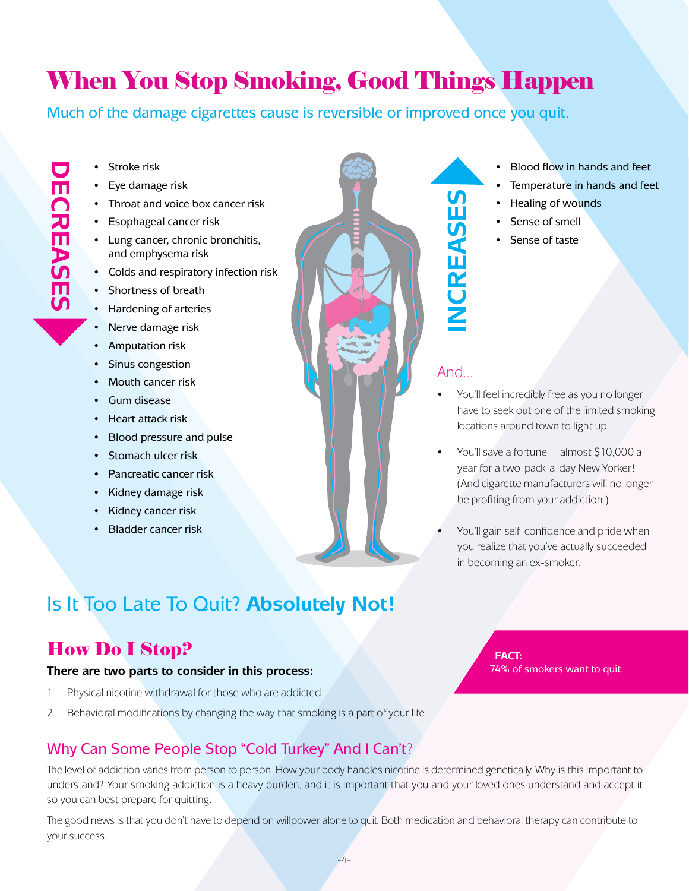# When You Stop Smoking, Good Things Happen

Much of the damage cigarettes cause is reversible or improved once you quit.

Stroke risk

**Decreases**

**REAS** 

**S** 

ū

- Eye damage risk
- Throat and voice box cancer risk
- **Esophageal cancer risk**
- • Lung cancer, chronic bronchitis, and emphysema risk
- • Colds and respiratory infection risk
- • Shortness of breath
- Hardening of arteries
- Nerve damage risk
- • Amputation risk
- Sinus congestion
- Mouth cancer risk
- Gum disease
- • Heart attack risk
- Blood pressure and pulse
- • Stomach ulcer risk
- Pancreatic cancer risk
- Kidney damage risk
- Kidney cancer risk
- **Bladder cancer risk**
- Blood flow in hands and feet
- Temperature in hands and feet
- Healing of wounds
- Sense of smell
- Sense of taste

### And...

**Increases**

CREASES

- You'll feel incredibly free as you no longer have to seek out one of the limited smoking locations around town to light up.
- You'll save a fortune almost \$10,000 a year for a two-pack-a-day New Yorker! (And cigarette manufacturers will no longer be profiting from your addiction.)
- You'll gain self-confidence and pride when you realize that you've actually succeeded in becoming an ex-smoker.

## Is It Too Late To Quit? **Absolutely Not!**

### How Do I Stop?

### **There are two parts to consider in this process:**

- 1. Physical nicotine withdrawal for those who are addicted
- 2. Behavioral modifications by changing the way that smoking is a part of your life

### Why Can Some People Stop "Cold Turkey" And I Can't?

The level of addiction varies from person to person. How your body handles nicotine is determined genetically. Why is this important to understand? Your smoking addiction is a heavy burden, and it is important that you and your loved ones understand and accept it so you can best prepare for quitting.

The good news is that you don't have to depend on willpower alone to quit. Both medication and behavioral therapy can contribute to your success.

**FACT:** 74% of smokers want to quit.

-4-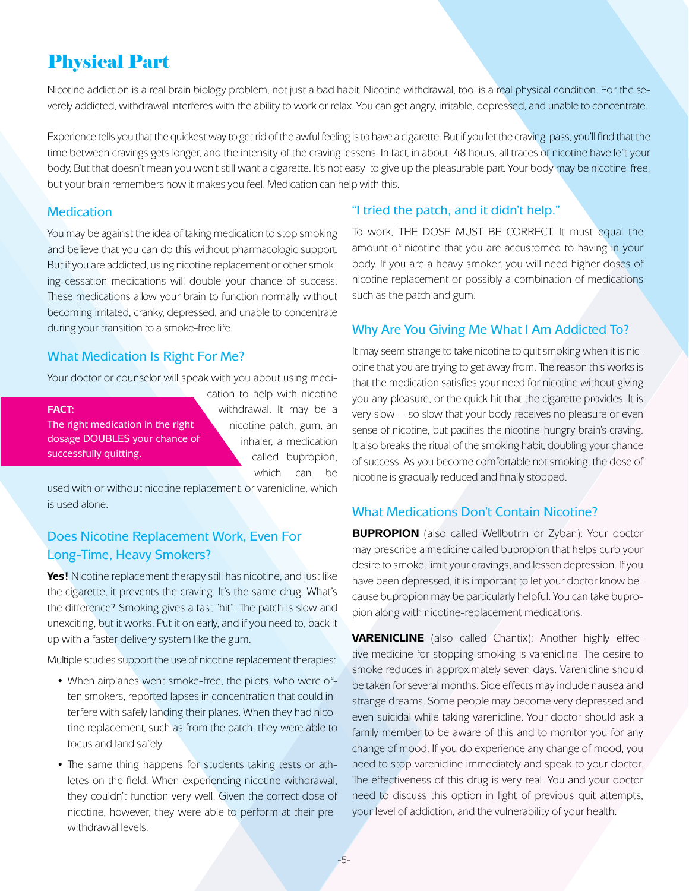### Physical Part

Nicotine addiction is a real brain biology problem, not just a bad habit. Nicotine withdrawal, too, is a real physical condition. For the severely addicted, withdrawal interferes with the ability to work or relax. You can get angry, irritable, depressed, and unable to concentrate.

Experience tells you that the quickest way to get rid of the awful feeling is to have a cigarette. But if you let the craving pass, you'll find that the time between cravings gets longer, and the intensity of the craving lessens. In fact, in about 48 hours, all traces of nicotine have left your body. But that doesn't mean you won't still want a cigarette. It's not easy to give up the pleasurable part. Your body may be nicotine-free, but your brain remembers how it makes you feel. Medication can help with this.

### **Medication**

You may be against the idea of taking medication to stop smoking and believe that you can do this without pharmacologic support. But if you are addicted, using nicotine replacement or other smoking cessation medications will double your chance of success. These medications allow your brain to function normally without becoming irritated, cranky, depressed, and unable to concentrate during your transition to a smoke-free life.

### What Medication Is Right For Me?

Your doctor or counselor will speak with you about using medi-

#### **FACT:**

The right medication in the right dosage DOUBLES your chance of successfully quitting.

cation to help with nicotine withdrawal. It may be a nicotine patch, gum, an inhaler, a medication called bupropion, which can be

used with or without nicotine replacement, or varenicline, which is used alone.

### Does Nicotine Replacement Work, Even For Long-Time, Heavy Smokers?

**Yes!** Nicotine replacement therapy still has nicotine, and just like the cigarette, it prevents the craving. It's the same drug. What's the difference? Smoking gives a fast "hit". The patch is slow and unexciting, but it works. Put it on early, and if you need to, back it up with a faster delivery system like the gum.

Multiple studies support the use of nicotine replacement therapies:

- When airplanes went smoke-free, the pilots, who were often smokers, reported lapses in concentration that could interfere with safely landing their planes. When they had nicotine replacement, such as from the patch, they were able to focus and land safely.
- The same thing happens for students taking tests or athletes on the field. When experiencing nicotine withdrawal, they couldn't function very well. Given the correct dose of nicotine, however, they were able to perform at their prewithdrawal levels.

### "I tried the patch, and it didn't help."

To work, THE DOSE MUST BE CORRECT. It must equal the amount of nicotine that you are accustomed to having in your body. If you are a heavy smoker, you will need higher doses of nicotine replacement or possibly a combination of medications such as the patch and gum.

### Why Are You Giving Me What I Am Addicted To?

It may seem strange to take nicotine to quit smoking when it is nicotine that you are trying to get away from. The reason this works is that the medication satisfies your need for nicotine without giving you any pleasure, or the quick hit that the cigarette provides. It is very slow — so slow that your body receives no pleasure or even sense of nicotine, but pacifies the nicotine-hungry brain's craving. It also breaks the ritual of the smoking habit, doubling your chance of success. As you become comfortable not smoking, the dose of nicotine is gradually reduced and finally stopped.

### What Medications Don't Contain Nicotine?

**BUPROPION** (also called Wellbutrin or Zyban): Your doctor may prescribe a medicine called bupropion that helps curb your desire to smoke, limit your cravings, and lessen depression. If you have been depressed, it is important to let your doctor know because bupropion may be particularly helpful. You can take bupropion along with nicotine-replacement medications.

**VARENICLINE** (also called Chantix): Another highly effective medicine for stopping smoking is varenicline. The desire to smoke reduces in approximately seven days. Varenicline should be taken for several months. Side effects may include nausea and strange dreams. Some people may become very depressed and even suicidal while taking varenicline. Your doctor should ask a family member to be aware of this and to monitor you for any change of mood. If you do experience any change of mood, you need to stop varenicline immediately and speak to your doctor. The effectiveness of this drug is very real. You and your doctor need to discuss this option in light of previous quit attempts, your level of addiction, and the vulnerability of your health.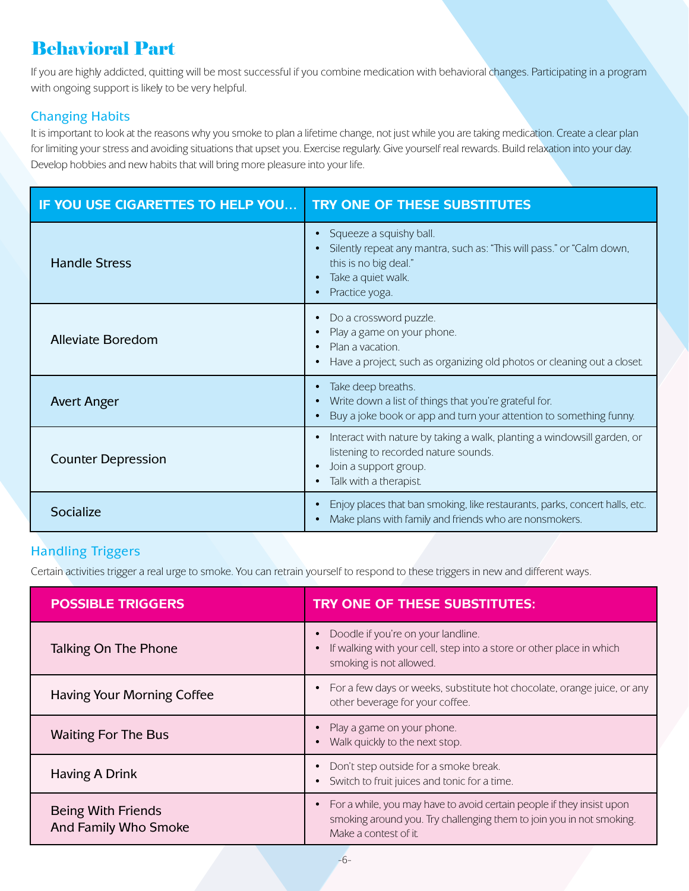### Behavioral Part

If you are highly addicted, quitting will be most successful if you combine medication with behavioral changes. Participating in a program with ongoing support is likely to be very helpful.

### Changing Habits

It is important to look at the reasons why you smoke to plan a lifetime change, not just while you are taking medication. Create a clear plan for limiting your stress and avoiding situations that upset you. Exercise regularly. Give yourself real rewards. Build relaxation into your day. Develop hobbies and new habits that will bring more pleasure into your life.

| IF YOU USE CIGARETTES TO HELP YOU | <b>TRY ONE OF THESE SUBSTITUTES</b>                                                                                                                                |
|-----------------------------------|--------------------------------------------------------------------------------------------------------------------------------------------------------------------|
| <b>Handle Stress</b>              | Squeeze a squishy ball.<br>Silently repeat any mantra, such as: "This will pass." or "Calm down,<br>this is no big deal."<br>Take a quiet walk.<br>Practice yoga.  |
| <b>Alleviate Boredom</b>          | Do a crossword puzzle.<br>Play a game on your phone.<br>Plan a vacation.<br>Have a project, such as organizing old photos or cleaning out a closet.                |
| <b>Avert Anger</b>                | Take deep breaths.<br>Write down a list of things that you're grateful for.<br>Buy a joke book or app and turn your attention to something funny.                  |
| <b>Counter Depression</b>         | Interact with nature by taking a walk, planting a windowsill garden, or<br>listening to recorded nature sounds.<br>Join a support group.<br>Talk with a therapist. |
| Socialize                         | Enjoy places that ban smoking, like restaurants, parks, concert halls, etc.<br>Make plans with family and friends who are nonsmokers.                              |

### Handling Triggers

Certain activities trigger a real urge to smoke. You can retrain yourself to respond to these triggers in new and different ways.

| <b>POSSIBLE TRIGGERS</b>                   | TRY ONE OF THESE SUBSTITUTES:                                                                                                                                          |
|--------------------------------------------|------------------------------------------------------------------------------------------------------------------------------------------------------------------------|
| Talking On The Phone                       | Doodle if you're on your landline.<br>If walking with your cell, step into a store or other place in which<br>smoking is not allowed.                                  |
| Having Your Morning Coffee                 | For a few days or weeks, substitute hot chocolate, orange juice, or any<br>other beverage for your coffee.                                                             |
| <b>Waiting For The Bus</b>                 | Play a game on your phone.<br>Walk quickly to the next stop.                                                                                                           |
| Having A Drink                             | Don't step outside for a smoke break.<br>Switch to fruit juices and tonic for a time.                                                                                  |
| Being With Friends<br>And Family Who Smoke | For a while, you may have to avoid certain people if they insist upon<br>smoking around you. Try challenging them to join you in not smoking.<br>Make a contest of it. |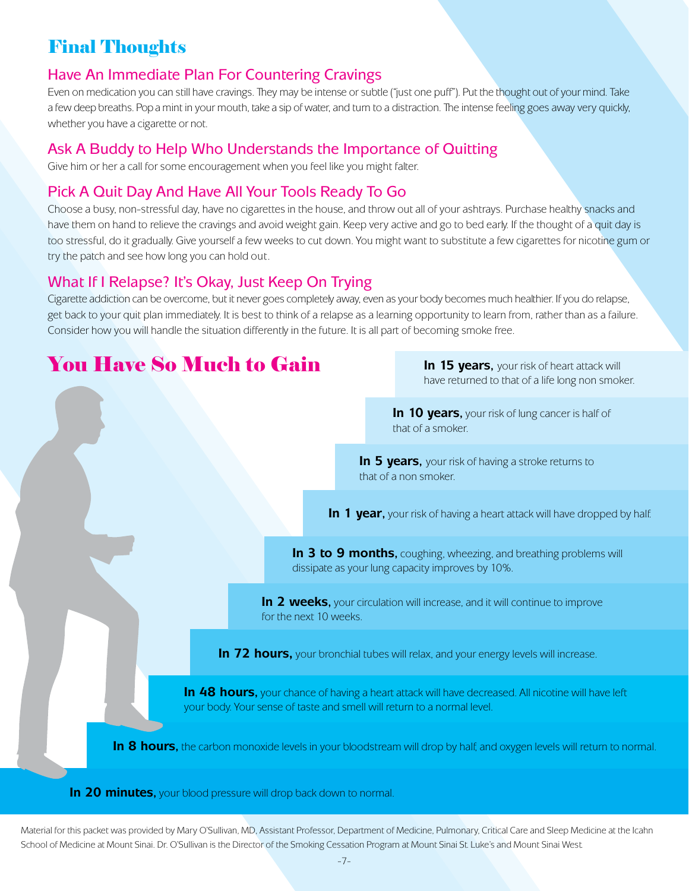### Final Thoughts

### Have An Immediate Plan For Countering Cravings

Even on medication you can still have cravings. They may be intense or subtle ("just one puff"). Put the thought out of your mind. Take a few deep breaths. Pop a mint in your mouth, take a sip of water, and turn to a distraction. The intense feeling goes away very quickly, whether you have a cigarette or not.

### Ask A Buddy to Help Who Understands the Importance of Quitting

Give him or her a call for some encouragement when you feel like you might falter.

### Pick A Quit Day And Have All Your Tools Ready To Go

Choose a busy, non-stressful day, have no cigarettes in the house, and throw out all of your ashtrays. Purchase healthy snacks and have them on hand to relieve the cravings and avoid weight gain. Keep very active and go to bed early. If the thought of a quit day is too stressful, do it gradually. Give yourself a few weeks to cut down. You might want to substitute a few cigarettes for nicotine gum or try the patch and see how long you can hold out.

### What If I Relapse? It's Okay, Just Keep On Trying

Cigarette addiction can be overcome, but it never goes completely away, even as your body becomes much healthier. If you do relapse, get back to your quit plan immediately. It is best to think of a relapse as a learning opportunity to learn from, rather than as a failure. Consider how you will handle the situation differently in the future. It is all part of becoming smoke free.



Material for this packet was provided by Mary O'Sullivan, MD, Assistant Professor, Department of Medicine, Pulmonary, Critical Care and Sleep Medicine at the Icahn School of Medicine at Mount Sinai. Dr. O'Sullivan is the Director of the Smoking Cessation Program at Mount Sinai St. Luke's and Mount Sinai West.